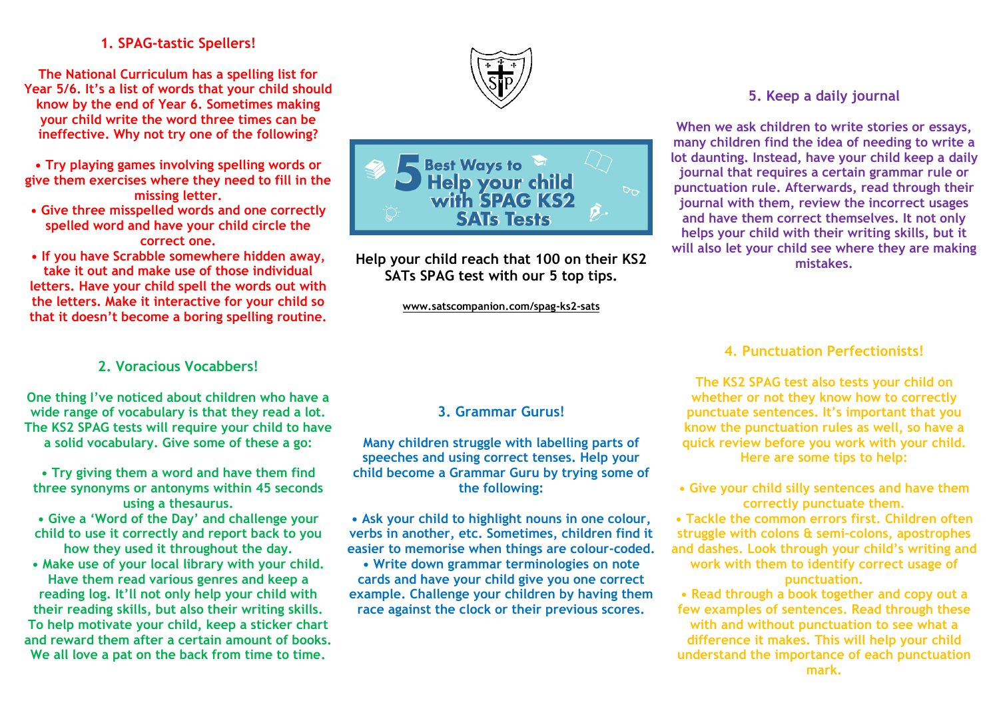# **1. SPAG-tastic Spellers!**

**The National Curriculum has a spelling list for Year 5/6. It's a list of words that your child should know by the end of Year 6. Sometimes making your child write the word three times can be ineffective. Why not try one of the following?**

**• Try playing games involving spelling words or give them exercises where they need to fill in the missing letter.**

**• Give three misspelled words and one correctly spelled word and have your child circle the correct one.**

**• If you have Scrabble somewhere hidden away, take it out and make use of those individual letters. Have your child spell the words out with the letters. Make it interactive for your child so that it doesn't become a boring spelling routine.**

# **2. Voracious Vocabbers!**

**One thing I've noticed about children who have a wide range of vocabulary is that they read a lot. The KS2 SPAG tests will require your child to have a solid vocabulary. Give some of these a go:**

**• Try giving them a word and have them find three synonyms or antonyms within 45 seconds using a thesaurus.**

**• Give a 'Word of the Day' and challenge your child to use it correctly and report back to you how they used it throughout the day.**

**• Make use of your local library with your child. Have them read various genres and keep a reading log. It'll not only help your child with their reading skills, but also their writing skills. To help motivate your child, keep a sticker chart and reward them after a certain amount of books. We all love a pat on the back from time to time.**





**Help your child reach that 100 on their KS2 SATs SPAG test with our 5 top tips.**

**www.satscompanion.com/spag-ks2-sats**

## **5. Keep a daily journal**

**When we ask children to write stories or essays, many children find the idea of needing to write a lot daunting. Instead, have your child keep a daily journal that requires a certain grammar rule or punctuation rule. Afterwards, read through their journal with them, review the incorrect usages and have them correct themselves. It not only helps your child with their writing skills, but it will also let your child see where they are making mistakes.**

### **4. Punctuation Perfectionists!**

**The KS2 SPAG test also tests your child on whether or not they know how to correctly punctuate sentences. It's important that you know the punctuation rules as well, so have a quick review before you work with your child. Here are some tips to help:**

**• Give your child silly sentences and have them correctly punctuate them.**

**• Tackle the common errors first. Children often struggle with colons & semi-colons, apostrophes and dashes. Look through your child's writing and work with them to identify correct usage of punctuation.**

**• Read through a book together and copy out a few examples of sentences. Read through these with and without punctuation to see what a difference it makes. This will help your child understand the importance of each punctuation** 

# **3. Grammar Gurus!**

**Many children struggle with labelling parts of speeches and using correct tenses. Help your child become a Grammar Guru by trying some of the following:**

**• Ask your child to highlight nouns in one colour, verbs in another, etc. Sometimes, children find it easier to memorise when things are colour-coded.**

**• Write down grammar terminologies on note cards and have your child give you one correct example. Challenge your children by having them race against the clock or their previous scores.**

#### **mark.**